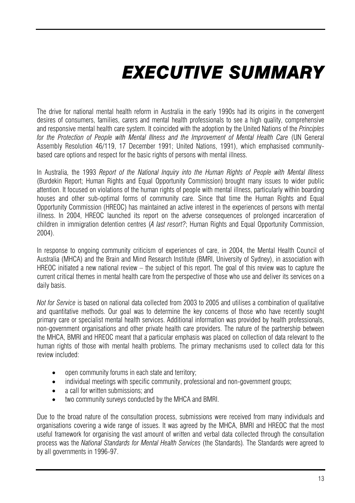## *EXECUTIVE SUMMARY*

 The drive for national mental health reform in Australia in the early 1990s had its origins in the convergent desires of consumers, families, carers and mental health professionals to see a high quality, comprehensive and responsive mental health care system. It coincided with the adoption by the United Nations of the *Principles*  for the Protection of People with Mental Illness and the Improvement of Mental Health Care (UN General Assembly Resolution 46/119, 17 December 1991; United Nations, 1991), which emphasised communitybased care options and respect for the basic rights of persons with mental illness.

In Australia, the 1993 *Report of the National Inquiry into the Human Rights of People with Mental Illness* (Burdekin Report; Human Rights and Equal Opportunity Commission) brought many issues to wider public attention. It focused on violations of the human rights of people with mental illness, particularly within boarding houses and other sub-optimal forms of community care. Since that time the Human Rights and Equal Opportunity Commission (HREOC) has maintained an active interest in the experiences of persons with mental illness. In 2004, HREOC launched its report on the adverse consequences of prolonged incarceration of children in immigration detention centres (*A last resort?*; Human Rights and Equal Opportunity Commission, 2004).

In response to ongoing community criticism of experiences of care, in 2004, the Mental Health Council of Australia (MHCA) and the Brain and Mind Research Institute (BMRI, University of Sydney), in association with HREOC initiated a new national review – the subject of this report. The goal of this review was to capture the current critical themes in mental health care from the perspective of those who use and deliver its services on a daily basis.

*Not for Service* is based on national data collected from 2003 to 2005 and utilises a combination of qualitative and quantitative methods. Our goal was to determine the key concerns of those who have recently sought primary care or specialist mental health services. Additional information was provided by health professionals, non-government organisations and other private health care providers. The nature of the partnership between the MHCA, BMRI and HREOC meant that a particular emphasis was placed on collection of data relevant to the human rights of those with mental health problems. The primary mechanisms used to collect data for this review included:

- open community forums in each state and territory;
- individual meetings with specific community, professional and non-government groups;
- a call for written submissions; and
- two community surveys conducted by the MHCA and BMRI.

Due to the broad nature of the consultation process, submissions were received from many individuals and organisations covering a wide range of issues. It was agreed by the MHCA, BMRI and HREOC that the most useful framework for organising the vast amount of written and verbal data collected through the consultation process was the *National Standards for Mental Health Services* (the Standards)*.* The Standards were agreed to by all governments in 1996-97.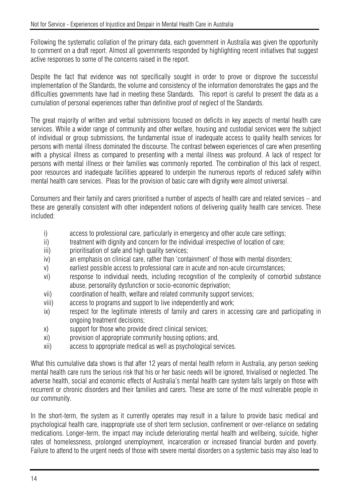Following the systematic collation of the primary data, each government in Australia was given the opportunity to comment on a draft report. Almost all governments responded by highlighting recent initiatives that suggest active responses to some of the concerns raised in the report.

Despite the fact that evidence was not specifically sought in order to prove or disprove the successful implementation of the Standards, the volume and consistency of the information demonstrates the gaps and the difficulties governments have had in meeting these Standards. This report is careful to present the data as a cumulation of personal experiences rather than definitive proof of neglect of the Standards.

The great majority of written and verbal submissions focused on deficits in key aspects of mental health care services. While a wider range of community and other welfare, housing and custodial services were the subject of individual or group submissions, the fundamental issue of inadequate access to quality health services for persons with mental illness dominated the discourse. The contrast between experiences of care when presenting with a physical illness as compared to presenting with a mental illness was profound. A lack of respect for persons with mental illness or their families was commonly reported. The combination of this lack of respect, poor resources and inadequate facilities appeared to underpin the numerous reports of reduced safety within mental health care services. Pleas for the provision of basic care with dignity were almost universal.

Consumers and their family and carers prioritised a number of aspects of health care and related services – and these are generally consistent with other independent notions of delivering quality health care services. These included:

- i) access to professional care, particularly in emergency and other acute care settings;
- ii) treatment with dignity and concern for the individual irrespective of location of care;
- iii) prioritisation of safe and high quality services;
- iv) an emphasis on clinical care, rather than 'containment' of those with mental disorders;
- v) earliest possible access to professional care in acute and non-acute circumstances;
- vi) response to individual needs, including recognition of the complexity of comorbid substance abuse, personality dysfunction or socio-economic deprivation;
- vii) coordination of health, welfare and related community support services;
- viii) access to programs and support to live independently and work;
- ix) respect for the legitimate interests of family and carers in accessing care and participating in ongoing treatment decisions;
- x) support for those who provide direct clinical services;
- xi) provision of appropriate community housing options; and,
- xii) access to appropriate medical as well as psychological services.

What this cumulative data shows is that after 12 years of mental health reform in Australia, any person seeking mental health care runs the serious risk that his or her basic needs will be ignored, trivialised or neglected. The adverse health, social and economic effects of Australia's mental health care system falls largely on those with recurrent or chronic disorders and their families and carers. These are some of the most vulnerable people in our community.

In the short-term, the system as it currently operates may result in a failure to provide basic medical and psychological health care, inappropriate use of short term seclusion, confinement or over-reliance on sedating medications. Longer-term, the impact may include deteriorating mental health and wellbeing, suicide, higher rates of homelessness, prolonged unemployment, incarceration or increased financial burden and poverty. Failure to attend to the urgent needs of those with severe mental disorders on a systemic basis may also lead to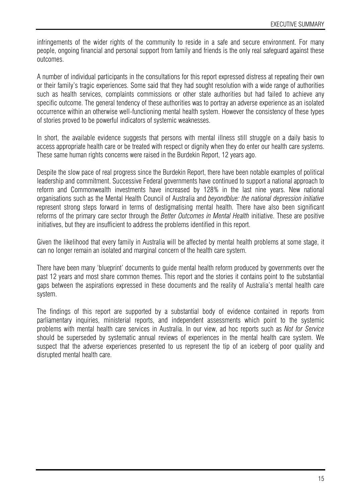infringements of the wider rights of the community to reside in a safe and secure environment. For many people, ongoing financial and personal support from family and friends is the only real safeguard against these outcomes.

A number of individual participants in the consultations for this report expressed distress at repeating their own or their family's tragic experiences. Some said that they had sought resolution with a wide range of authorities such as health services, complaints commissions or other state authorities but had failed to achieve any specific outcome. The general tendency of these authorities was to portray an adverse experience as an isolated occurrence within an otherwise well-functioning mental health system. However the consistency of these types of stories proved to be powerful indicators of systemic weaknesses.

In short, the available evidence suggests that persons with mental illness still struggle on a daily basis to access appropriate health care or be treated with respect or dignity when they do enter our health care systems. These same human rights concerns were raised in the Burdekin Report, 12 years ago.

Despite the slow pace of real progress since the Burdekin Report, there have been notable examples of political leadership and commitment. Successive Federal governments have continued to support a national approach to reform and Commonwealth investments have increased by 128% in the last nine years. New national organisations such as the Mental Health Council of Australia and *beyondblue: the national depression initiative* represent strong steps forward in terms of destigmatising mental health. There have also been significant reforms of the primary care sector through the *Better Outcomes in Mental Health* initiative. These are positive initiatives, but they are insufficient to address the problems identified in this report.

Given the likelihood that every family in Australia will be affected by mental health problems at some stage, it can no longer remain an isolated and marginal concern of the health care system.

There have been many 'blueprint' documents to guide mental health reform produced by governments over the past 12 years and most share common themes. This report and the stories it contains point to the substantial gaps between the aspirations expressed in these documents and the reality of Australia's mental health care system.

The findings of this report are supported by a substantial body of evidence contained in reports from parliamentary inquiries, ministerial reports, and independent assessments which point to the systemic problems with mental health care services in Australia. In our view, ad hoc reports such as *Not for Service* should be superseded by systematic annual reviews of experiences in the mental health care system. We suspect that the adverse experiences presented to us represent the tip of an iceberg of poor quality and disrupted mental health care.